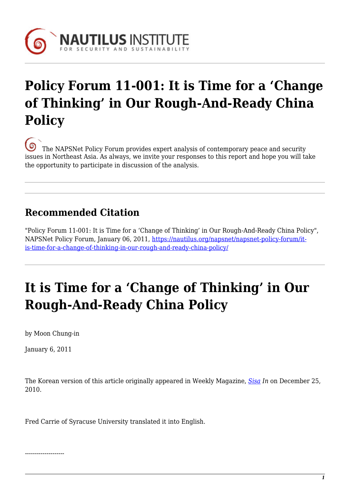

## **Policy Forum 11-001: It is Time for a 'Change of Thinking' in Our Rough-And-Ready China Policy**

[T](https://nautilus.org/wp-content/uploads/2013/05/nautilus-logo-small.png)he NAPSNet Policy Forum provides expert analysis of contemporary peace and security issues in Northeast Asia. As always, we invite your responses to this report and hope you will take the opportunity to participate in discussion of the analysis.

### **Recommended Citation**

"Policy Forum 11-001: It is Time for a 'Change of Thinking' in Our Rough-And-Ready China Policy", NAPSNet Policy Forum, January 06, 2011, [https://nautilus.org/napsnet/napsnet-policy-forum/it](https://nautilus.org/napsnet/napsnet-policy-forum/it-is-time-for-a-change-of-thinking-in-our-rough-and-ready-china-policy/)[is-time-for-a-change-of-thinking-in-our-rough-and-ready-china-policy/](https://nautilus.org/napsnet/napsnet-policy-forum/it-is-time-for-a-change-of-thinking-in-our-rough-and-ready-china-policy/)

# **It is Time for a 'Change of Thinking' in Our Rough-And-Ready China Policy**

by Moon Chung-in

January 6, 2011

The Korean version of this article originally appeared in Weekly Magazine, *[Sisa](http://www.sisainlive.com/news/articleView.html?idxno=9127#) In* on December 25, 2010.

Fred Carrie of Syracuse University translated it into English.

--------------------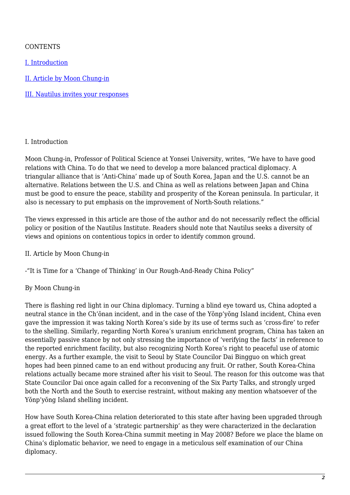### **CONTENTS**

[I. Introduction](#page-1-0)

[II. Article by Moon Chung-in](#page-1-1)

[III. Nautilus invites your responses](#page-3-0)

#### <span id="page-1-0"></span>I. Introduction

Moon Chung-in, Professor of Political Science at Yonsei University, writes, "We have to have good relations with China. To do that we need to develop a more balanced practical diplomacy. A triangular alliance that is 'Anti-China' made up of South Korea, Japan and the U.S. cannot be an alternative. Relations between the U.S. and China as well as relations between Japan and China must be good to ensure the peace, stability and prosperity of the Korean peninsula. In particular, it also is necessary to put emphasis on the improvement of North-South relations."

The views expressed in this article are those of the author and do not necessarily reflect the official policy or position of the Nautilus Institute. Readers should note that Nautilus seeks a diversity of views and opinions on contentious topics in order to identify common ground.

#### <span id="page-1-1"></span>II. Article by Moon Chung-in

-"It is Time for a 'Change of Thinking' in Our Rough-And-Ready China Policy"

#### By Moon Chung-in

There is flashing red light in our China diplomacy. Turning a blind eye toward us, China adopted a neutral stance in the Ch'ŏnan incident, and in the case of the Yŏnp'yŏng Island incident, China even gave the impression it was taking North Korea's side by its use of terms such as 'cross-fire' to refer to the shelling. Similarly, regarding North Korea's uranium enrichment program, China has taken an essentially passive stance by not only stressing the importance of 'verifying the facts' in reference to the reported enrichment facility, but also recognizing North Korea's right to peaceful use of atomic energy. As a further example, the visit to Seoul by State Councilor Dai Bingguo on which great hopes had been pinned came to an end without producing any fruit. Or rather, South Korea-China relations actually became more strained after his visit to Seoul. The reason for this outcome was that State Councilor Dai once again called for a reconvening of the Six Party Talks, and strongly urged both the North and the South to exercise restraint, without making any mention whatsoever of the Yŏnp'yŏng Island shelling incident.

How have South Korea-China relation deteriorated to this state after having been upgraded through a great effort to the level of a 'strategic partnership' as they were characterized in the declaration issued following the South Korea-China summit meeting in May 2008? Before we place the blame on China's diplomatic behavior, we need to engage in a meticulous self examination of our China diplomacy.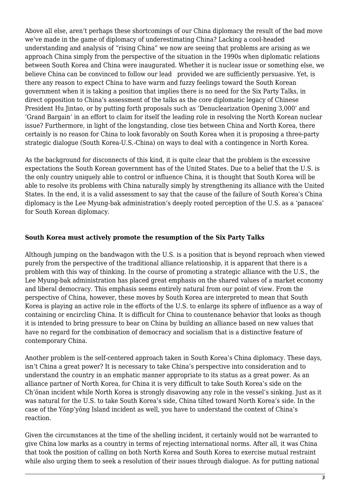Above all else, aren't perhaps these shortcomings of our China diplomacy the result of the bad move we've made in the game of diplomacy of underestimating China? Lacking a cool-headed understanding and analysis of "rising China" we now are seeing that problems are arising as we approach China simply from the perspective of the situation in the 1990s when diplomatic relations between South Korea and China were inaugurated. Whether it is nuclear issue or something else, we believe China can be convinced to follow our lead provided we are sufficiently persuasive. Yet, is there any reason to expect China to have warm and fuzzy feelings toward the South Korean government when it is taking a position that implies there is no need for the Six Party Talks, in direct opposition to China's assessment of the talks as the core diplomatic legacy of Chinese President Hu Jintao, or by putting forth proposals such as 'Denuclearization Opening 3,000' and 'Grand Bargain' in an effort to claim for itself the leading role in resolving the North Korean nuclear issue? Furthermore, in light of the longstanding, close ties between China and North Korea, there certainly is no reason for China to look favorably on South Korea when it is proposing a three-party strategic dialogue (South Korea-U.S.-China) on ways to deal with a contingence in North Korea.

As the background for disconnects of this kind, it is quite clear that the problem is the excessive expectations the South Korean government has of the United States. Due to a belief that the U.S. is the only country uniquely able to control or influence China, it is thought that South Korea will be able to resolve its problems with China naturally simply by strengthening its alliance with the United States. In the end, it is a valid assessment to say that the cause of the failure of South Korea's China diplomacy is the Lee Myung-bak administration's deeply rooted perception of the U.S. as a 'panacea' for South Korean diplomacy.

#### **South Korea must actively promote the resumption of the Six Party Talks**

Although jumping on the bandwagon with the U.S. is a position that is beyond reproach when viewed purely from the perspective of the traditional alliance relationship, it is apparent that there is a problem with this way of thinking. In the course of promoting a strategic alliance with the U.S., the Lee Myung-bak administration has placed great emphasis on the shared values of a market economy and liberal democracy. This emphasis seems entirely natural from our point of view. From the perspective of China, however, these moves by South Korea are interpreted to mean that South Korea is playing an active role in the efforts of the U.S. to enlarge its sphere of influence as a way of containing or encircling China. It is difficult for China to countenance behavior that looks as though it is intended to bring pressure to bear on China by building an alliance based on new values that have no regard for the combination of democracy and socialism that is a distinctive feature of contemporary China.

Another problem is the self-centered approach taken in South Korea's China diplomacy. These days, isn't China a great power? It is necessary to take China's perspective into consideration and to understand the country in an emphatic manner appropriate to its status as a great power. As an alliance partner of North Korea, for China it is very difficult to take South Korea's side on the Ch'ŏnan incident while North Korea is strongly disavowing any role in the vessel's sinking. Just as it was natural for the U.S. to take South Korea's side, China tilted toward North Korea's side. In the case of the Yŏnp'yŏng Island incident as well, you have to understand the context of China's reaction.

Given the circumstances at the time of the shelling incident, it certainly would not be warranted to give China low marks as a country in terms of rejecting international norms. After all, it was China that took the position of calling on both North Korea and South Korea to exercise mutual restraint while also urging them to seek a resolution of their issues through dialogue. As for putting national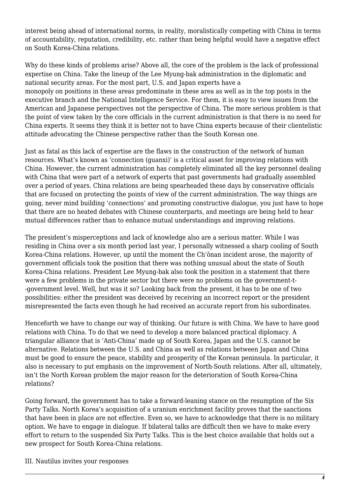interest being ahead of international norms, in reality, moralistically competing with China in terms of accountability, reputation, credibility, etc. rather than being helpful would have a negative effect on South Korea-China relations.

Why do these kinds of problems arise? Above all, the core of the problem is the lack of professional expertise on China. Take the lineup of the Lee Myung-bak administration in the diplomatic and national security areas. For the most part, U.S. and Japan experts have a monopoly on positions in these areas predominate in these area as well as in the top posts in the executive branch and the National Intelligence Service. For them, it is easy to view issues from the American and Japanese perspectives not the perspective of China. The more serious problem is that the point of view taken by the core officials in the current administration is that there is no need for China experts. It seems they think it is better not to have China experts because of their clientelistic attitude advocating the Chinese perspective rather than the South Korean one.

Just as fatal as this lack of expertise are the flaws in the construction of the network of human resources. What's known as 'connection (guanxi)' is a critical asset for improving relations with China. However, the current administration has completely eliminated all the key personnel dealing with China that were part of a network of experts that past governments had gradually assembled over a period of years. China relations are being spearheaded these days by conservative officials that are focused on protecting the points of view of the current administration. The way things are going, never mind building 'connections' and promoting constructive dialogue, you just have to hope that there are no heated debates with Chinese counterparts, and meetings are being held to hear mutual differences rather than to enhance mutual understandings and improving relations.

The president's misperceptions and lack of knowledge also are a serious matter. While I was residing in China over a six month period last year, I personally witnessed a sharp cooling of South Korea-China relations. However, up until the moment the Ch'ŏnan incident arose, the majority of government officials took the position that there was nothing unusual about the state of South Korea-China relations. President Lee Myung-bak also took the position in a statement that there were a few problems in the private sector but there were no problems on the government-t- -government level. Well, but was it so? Looking back from the present, it has to be one of two possibilities: either the president was deceived by receiving an incorrect report or the president misrepresented the facts even though he had received an accurate report from his subordinates.

Henceforth we have to change our way of thinking. Our future is with China. We have to have good relations with China. To do that we need to develop a more balanced practical diplomacy. A triangular alliance that is 'Anti-China' made up of South Korea, Japan and the U.S. cannot be alternative. Relations between the U.S. and China as well as relations between Japan and China must be good to ensure the peace, stability and prosperity of the Korean peninsula. In particular, it also is necessary to put emphasis on the improvement of North-South relations. After all, ultimately, isn't the North Korean problem the major reason for the deterioration of South Korea-China relations?

Going forward, the government has to take a forward-leaning stance on the resumption of the Six Party Talks. North Korea's acquisition of a uranium enrichment facility proves that the sanctions that have been in place are not effective. Even so, we have to acknowledge that there is no military option. We have to engage in dialogue. If bilateral talks are difficult then we have to make every effort to return to the suspended Six Party Talks. This is the best choice available that holds out a new prospect for South Korea-China relations.

#### <span id="page-3-0"></span>III. Nautilus invites your responses